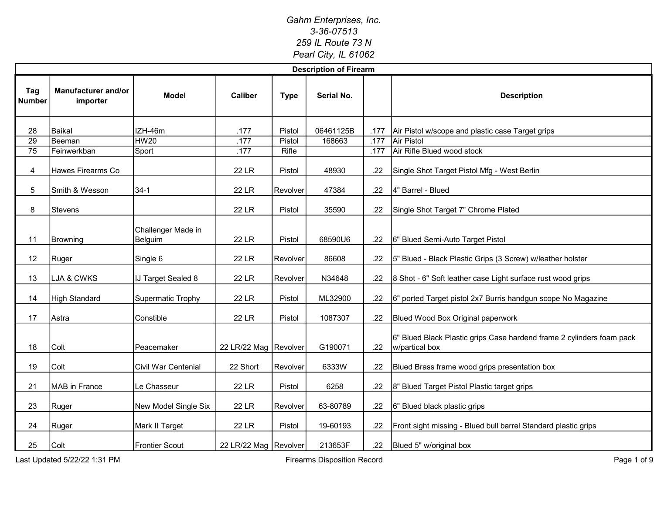|                      | <b>Description of Firearm</b>   |                               |                         |             |            |      |                                                                                         |  |  |  |  |  |
|----------------------|---------------------------------|-------------------------------|-------------------------|-------------|------------|------|-----------------------------------------------------------------------------------------|--|--|--|--|--|
| Tag<br><b>Number</b> | Manufacturer and/or<br>importer | Model                         | <b>Caliber</b>          | <b>Type</b> | Serial No. |      | <b>Description</b>                                                                      |  |  |  |  |  |
| 28                   | Baikal                          | IZH-46m                       | .177                    | Pistol      | 06461125B  | .177 | Air Pistol w/scope and plastic case Target grips                                        |  |  |  |  |  |
| $\overline{29}$      | Beeman                          | <b>HW20</b>                   | .177                    | Pistol      | 168663     | .177 | Air Pistol                                                                              |  |  |  |  |  |
| $\overline{75}$      | Feinwerkban                     | Sport                         | .177                    | Rifle       |            | .177 | Air Rifle Blued wood stock                                                              |  |  |  |  |  |
| 4                    | Hawes Firearms Co               |                               | 22 LR                   | Pistol      | 48930      | .22  | Single Shot Target Pistol Mfg - West Berlin                                             |  |  |  |  |  |
| 5                    | Smith & Wesson                  | $34-1$                        | <b>22 LR</b>            | Revolver    | 47384      | .22  | 4" Barrel - Blued                                                                       |  |  |  |  |  |
| 8                    | Stevens                         |                               | <b>22 LR</b>            | Pistol      | 35590      | .22  | Single Shot Target 7" Chrome Plated                                                     |  |  |  |  |  |
| 11                   | Browning                        | Challenger Made in<br>Belguim | <b>22 LR</b>            | Pistol      | 68590U6    | .22  | 6" Blued Semi-Auto Target Pistol                                                        |  |  |  |  |  |
| 12                   | Ruger                           | Single 6                      | 22 LR                   | Revolver    | 86608      | .22  | 5" Blued - Black Plastic Grips (3 Screw) w/leather holster                              |  |  |  |  |  |
| 13                   | LJA & CWKS                      | <b>IJ Target Sealed 8</b>     | <b>22 LR</b>            | Revolver    | N34648     | .22  | 8 Shot - 6" Soft leather case Light surface rust wood grips                             |  |  |  |  |  |
| 14                   | <b>High Standard</b>            | Supermatic Trophy             | <b>22 LR</b>            | Pistol      | ML32900    | .22  | 6" ported Target pistol 2x7 Burris handgun scope No Magazine                            |  |  |  |  |  |
| 17                   | Astra                           | Constible                     | <b>22 LR</b>            | Pistol      | 1087307    | .22  | Blued Wood Box Original paperwork                                                       |  |  |  |  |  |
| 18                   | Colt                            | Peacemaker                    | 22 LR/22 Mag Revolver   |             | G190071    | .22  | 6" Blued Black Plastic grips Case hardend frame 2 cylinders foam pack<br>w/partical box |  |  |  |  |  |
| 19                   | Colt                            | Civil War Centenial           | 22 Short                | Revolver    | 6333W      | .22  | Blued Brass frame wood grips presentation box                                           |  |  |  |  |  |
| 21                   | MAB in France                   | Le Chasseur                   | 22 LR                   | Pistol      | 6258       | .22  | 8" Blued Target Pistol Plastic target grips                                             |  |  |  |  |  |
| 23                   | Ruger                           | New Model Single Six          | <b>22 LR</b>            | Revolver    | 63-80789   | .22  | 6" Blued black plastic grips                                                            |  |  |  |  |  |
| 24                   | Ruger                           | Mark II Target                | 22 LR                   | Pistol      | 19-60193   | .22  | Front sight missing - Blued bull barrel Standard plastic grips                          |  |  |  |  |  |
| 25                   | Colt                            | <b>Frontier Scout</b>         | 22 LR/22 Mag   Revolver |             | 213653F    | .22  | Blued 5" w/original box                                                                 |  |  |  |  |  |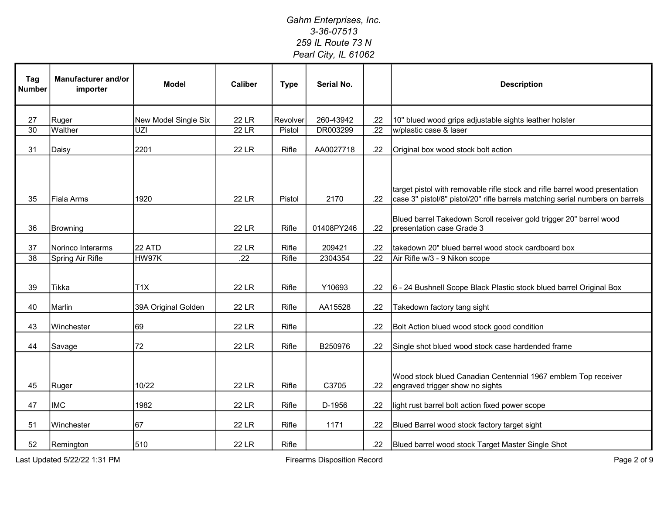| Tag<br><b>Number</b> | Manufacturer and/or<br>importer | <b>Model</b>         | <b>Caliber</b> | <b>Type</b> | Serial No. |                  | <b>Description</b>                                                                                                                                           |
|----------------------|---------------------------------|----------------------|----------------|-------------|------------|------------------|--------------------------------------------------------------------------------------------------------------------------------------------------------------|
| 27                   | Ruger                           | New Model Single Six | <b>22 LR</b>   | Revolver    | 260-43942  | .22              | 10" blued wood grips adjustable sights leather holster                                                                                                       |
| $\overline{30}$      | Walther                         | UZI                  | <b>22 LR</b>   | Pistol      | DR003299   | .22              | w/plastic case & laser                                                                                                                                       |
| 31                   | Daisy                           | 2201                 | <b>22 LR</b>   | Rifle       | AA0027718  | .22              | Original box wood stock bolt action                                                                                                                          |
| 35                   | <b>Fiala Arms</b>               | 1920                 | <b>22 LR</b>   | Pistol      | 2170       | .22              | target pistol with removable rifle stock and rifle barrel wood presentation<br>case 3" pistol/8" pistol/20" rifle barrels matching serial numbers on barrels |
| 36                   | Browning                        |                      | <b>22 LR</b>   | Rifle       | 01408PY246 | .22              | Blued barrel Takedown Scroll receiver gold trigger 20" barrel wood<br>presentation case Grade 3                                                              |
| 37                   | Norinco Interarms               | 22 ATD               | <b>22 LR</b>   | Rifle       | 209421     | .22              | takedown 20" blued barrel wood stock cardboard box                                                                                                           |
| $\overline{38}$      | Spring Air Rifle                | HW97K                | .22            | Rifle       | 2304354    | $\overline{.22}$ | Air Rifle w/3 - 9 Nikon scope                                                                                                                                |
| 39                   | Tikka                           | T1X                  | 22 LR          | Rifle       | Y10693     | .22              | 6 - 24 Bushnell Scope Black Plastic stock blued barrel Original Box                                                                                          |
| 40                   | Marlin                          | 39A Original Golden  | <b>22 LR</b>   | Rifle       | AA15528    | .22              | Takedown factory tang sight                                                                                                                                  |
| 43                   | Winchester                      | 69                   | <b>22 LR</b>   | Rifle       |            | .22              | Bolt Action blued wood stock good condition                                                                                                                  |
| 44                   | Savage                          | 72                   | <b>22 LR</b>   | Rifle       | B250976    | .22              | Single shot blued wood stock case hardended frame                                                                                                            |
| 45                   | Ruger                           | 10/22                | 22 LR          | Rifle       | C3705      | .22              | Wood stock blued Canadian Centennial 1967 emblem Top receiver<br>engraved trigger show no sights                                                             |
| 47                   | <b>IMC</b>                      | 1982                 | <b>22 LR</b>   | Rifle       | D-1956     | .22              | light rust barrel bolt action fixed power scope                                                                                                              |
| 51                   | Winchester                      | 67                   | <b>22 LR</b>   | Rifle       | 1171       | .22              | Blued Barrel wood stock factory target sight                                                                                                                 |
| 52                   | Remington                       | 510                  | 22 LR          | Rifle       |            | .22              | Blued barrel wood stock Target Master Single Shot                                                                                                            |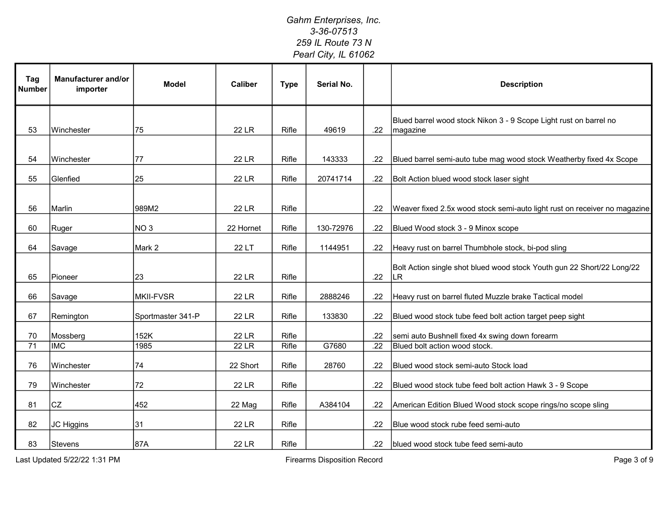| Tag<br><b>Number</b> | <b>Manufacturer and/or</b><br>importer | <b>Model</b>      | <b>Caliber</b> | <b>Type</b> | Serial No. |         | <b>Description</b>                                                             |
|----------------------|----------------------------------------|-------------------|----------------|-------------|------------|---------|--------------------------------------------------------------------------------|
| 53                   | Winchester                             | 75                | <b>22 LR</b>   | Rifle       | 49619      | .22     | Blued barrel wood stock Nikon 3 - 9 Scope Light rust on barrel no<br>magazine  |
| 54                   | Winchester                             | 77                | <b>22 LR</b>   | Rifle       | 143333     | .22     | Blued barrel semi-auto tube mag wood stock Weatherby fixed 4x Scope            |
| 55                   | Glenfied                               | 25                | 22 LR          | Rifle       | 20741714   | .22     | Bolt Action blued wood stock laser sight                                       |
| 56                   | Marlin                                 | 989M2             | <b>22 LR</b>   | Rifle       |            | .22     | Weaver fixed 2.5x wood stock semi-auto light rust on receiver no magazine      |
| 60                   | Ruger                                  | NO <sub>3</sub>   | 22 Hornet      | Rifle       | 130-72976  | .22     | Blued Wood stock 3 - 9 Minox scope                                             |
| 64                   | Savage                                 | Mark 2            | 22 LT          | Rifle       | 1144951    | .22     | Heavy rust on barrel Thumbhole stock, bi-pod sling                             |
| 65                   | Pioneer                                | 23                | 22 LR          | Rifle       |            | .22     | Bolt Action single shot blued wood stock Youth gun 22 Short/22 Long/22<br>ll R |
| 66                   | Savage                                 | <b>MKII-FVSR</b>  | 22 LR          | Rifle       | 2888246    | .22     | Heavy rust on barrel fluted Muzzle brake Tactical model                        |
| 67                   | Remington                              | Sportmaster 341-P | 22 LR          | Rifle       | 133830     | .22     | Blued wood stock tube feed bolt action target peep sight                       |
| 70                   | Mossberg                               | 152K              | 22 LR          | Rifle       |            | .22     | semi auto Bushnell fixed 4x swing down forearm                                 |
| 71                   | <b>IMC</b>                             | 1985              | <b>22 LR</b>   | Rifle       | G7680      | .22     | Blued bolt action wood stock.                                                  |
| 76                   | Winchester                             | 74                | 22 Short       | Rifle       | 28760      | .22     | Blued wood stock semi-auto Stock load                                          |
| 79                   | Winchester                             | 72                | <b>22 LR</b>   | Rifle       |            | .22     | Blued wood stock tube feed bolt action Hawk 3 - 9 Scope                        |
| 81                   | <b>CZ</b>                              | 452               | 22 Mag         | Rifle       | A384104    | .22     | American Edition Blued Wood stock scope rings/no scope sling                   |
| 82                   | JC Higgins                             | 31                | <b>22 LR</b>   | Rifle       |            | .22     | Blue wood stock rube feed semi-auto                                            |
| 83                   | Stevens                                | 87A               | <b>22 LR</b>   | Rifle       |            | $.22\,$ | blued wood stock tube feed semi-auto                                           |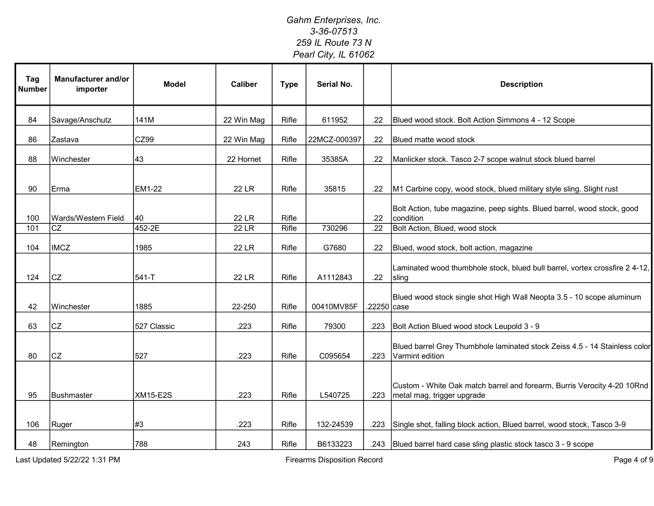| Tag<br><b>Number</b> | Manufacturer and/or<br>importer | <b>Model</b>    | <b>Caliber</b> | <b>Type</b> | Serial No.   |             | <b>Description</b>                                                                                    |
|----------------------|---------------------------------|-----------------|----------------|-------------|--------------|-------------|-------------------------------------------------------------------------------------------------------|
| 84                   | Savage/Anschutz                 | 141M            | 22 Win Mag     | Rifle       | 611952       | .22         | Blued wood stock. Bolt Action Simmons 4 - 12 Scope                                                    |
| 86                   | Zastava                         | CZ99            | 22 Win Mag     | Rifle       | 22MCZ-000397 | .22         | Blued matte wood stock                                                                                |
| 88                   | Winchester                      | 43              | 22 Hornet      | Rifle       | 35385A       | .22         | Manlicker stock. Tasco 2-7 scope walnut stock blued barrel                                            |
| 90                   | Erma                            | EM1-22          | <b>22 LR</b>   | Rifle       | 35815        | .22         | M1 Carbine copy, wood stock, blued military style sling. Slight rust                                  |
| 100                  | Wards/Western Field             | 40              | <b>22 LR</b>   | Rifle       |              | .22         | Bolt Action, tube magazine, peep sights. Blued barrel, wood stock, good<br>condition                  |
| 101                  | CZ                              | 452-2E          | <b>22 LR</b>   | Rifle       | 730296       | .22         | Bolt Action, Blued, wood stock                                                                        |
| 104                  | <b>IMCZ</b>                     | 1985            | <b>22 LR</b>   | Rifle       | G7680        | .22         | Blued, wood stock, bolt action, magazine                                                              |
| 124                  | <b>CZ</b>                       | 541-T           | <b>22 LR</b>   | Rifle       | A1112843     | .22         | Laminated wood thumbhole stock, blued bull barrel, vortex crossfire 2 4-12,<br>sling                  |
| 42                   | Winchester                      | 1885            | 22-250         | Rifle       | 00410MV85F   | .22250 case | Blued wood stock single shot High Wall Neopta 3.5 - 10 scope aluminum                                 |
| 63                   | CZ                              | 527 Classic     | .223           | Rifle       | 79300        | .223        | Bolt Action Blued wood stock Leupold 3 - 9                                                            |
| 80                   | <b>CZ</b>                       | 527             | .223           | Rifle       | C095654      | .223        | Blued barrel Grey Thumbhole laminated stock Zeiss 4.5 - 14 Stainless color<br>Varmint edition         |
| 95                   | Bushmaster                      | <b>XM15-E2S</b> | .223           | Rifle       | L540725      | .223        | Custom - White Oak match barrel and forearm, Burris Verocity 4-20 10Rnd<br>metal mag, trigger upgrade |
| 106                  | Ruger                           | #3              | .223           | Rifle       | 132-24539    | .223        | Single shot, falling block action, Blued barrel, wood stock, Tasco 3-9                                |
| 48                   | Remington                       | 788             | 243            | Rifle       | B6133223     |             | .243   Blued barrel hard case sling plastic stock tasco 3 - 9 scope                                   |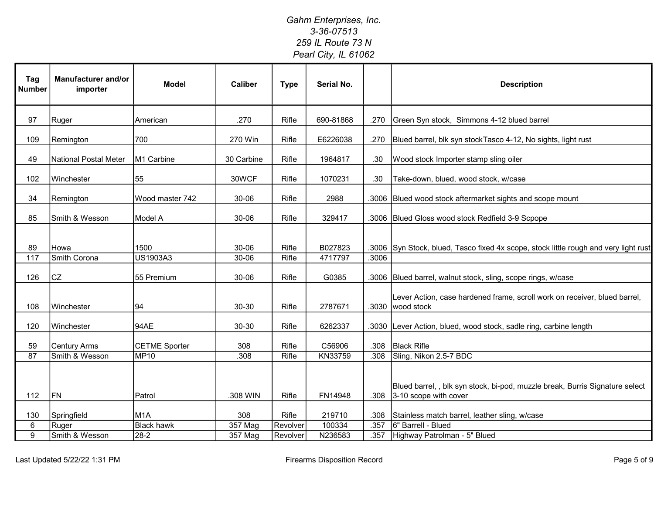| Tag<br><b>Number</b> | Manufacturer and/or<br>importer | <b>Model</b>         | <b>Caliber</b> | <b>Type</b> | Serial No. |       | <b>Description</b>                                                                                   |
|----------------------|---------------------------------|----------------------|----------------|-------------|------------|-------|------------------------------------------------------------------------------------------------------|
| 97                   | Ruger                           | American             | .270           | Rifle       | 690-81868  | .270  | Green Syn stock, Simmons 4-12 blued barrel                                                           |
| 109                  | Remington                       | 700                  | 270 Win        | Rifle       | E6226038   | .270  | Blued barrel, blk syn stockTasco 4-12, No sights, light rust                                         |
| 49                   | National Postal Meter           | M1 Carbine           | 30 Carbine     | Rifle       | 1964817    | .30   | Wood stock Importer stamp sling oiler                                                                |
| 102                  | Winchester                      | 55                   | 30WCF          | Rifle       | 1070231    | .30   | Take-down, blued, wood stock, w/case                                                                 |
| 34                   | Remington                       | Wood master 742      | 30-06          | Rifle       | 2988       | .3006 | Blued wood stock aftermarket sights and scope mount                                                  |
| 85                   | Smith & Wesson                  | Model A              | 30-06          | Rifle       | 329417     |       | .3006 Blued Gloss wood stock Redfield 3-9 Scpope                                                     |
| 89                   | Howa                            | 1500                 | 30-06          | Rifle       | B027823    |       | .3006 Syn Stock, blued, Tasco fixed 4x scope, stock little rough and very light rust                 |
| 117                  | Smith Corona                    | US1903A3             | 30-06          | Rifle       | 4717797    | .3006 |                                                                                                      |
| 126                  | <b>CZ</b>                       | 55 Premium           | 30-06          | Rifle       | G0385      |       | .3006 Blued barrel, walnut stock, sling, scope rings, w/case                                         |
| 108                  | Winchester                      | 94                   | 30-30          | Rifle       | 2787671    | .3030 | Lever Action, case hardened frame, scroll work on receiver, blued barrel,<br>wood stock              |
| 120                  | Winchester                      | 94AE                 | 30-30          | Rifle       | 6262337    |       | .3030 Lever Action, blued, wood stock, sadle ring, carbine length                                    |
| 59                   | <b>Century Arms</b>             | <b>CETME Sporter</b> | 308            | Rifle       | C56906     | .308  | <b>Black Rifle</b>                                                                                   |
| 87                   | Smith & Wesson                  | <b>MP10</b>          | .308           | Rifle       | KN33759    | .308  | Sling, Nikon 2.5-7 BDC                                                                               |
| 112                  | <b>FN</b>                       | Patrol               | .308 WIN       | Rifle       | FN14948    | .308  | Blued barrel,, blk syn stock, bi-pod, muzzle break, Burris Signature select<br>3-10 scope with cover |
| 130                  | Springfield                     | M <sub>1</sub> A     | 308            | Rifle       | 219710     | .308  | Stainless match barrel, leather sling, w/case                                                        |
| 6                    | Ruger                           | <b>Black hawk</b>    | 357 Mag        | Revolver    | 100334     | .357  | 6" Barrell - Blued                                                                                   |
| $\overline{9}$       | Smith & Wesson                  | $28-2$               | 357 Mag        | Revolver    | N236583    | .357  | Highway Patrolman - 5" Blued                                                                         |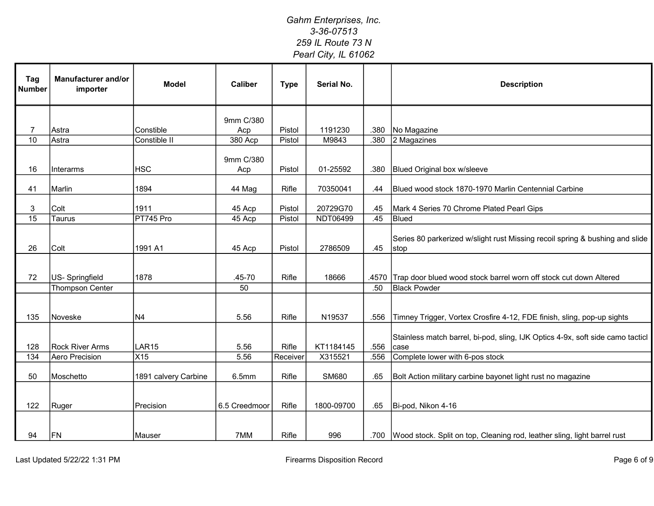| Tag<br><b>Number</b> | Manufacturer and/or<br>importer | <b>Model</b>         | <b>Caliber</b>   | <b>Type</b> | Serial No.   |      | <b>Description</b>                                                                     |
|----------------------|---------------------------------|----------------------|------------------|-------------|--------------|------|----------------------------------------------------------------------------------------|
|                      |                                 |                      | 9mm C/380        |             |              |      |                                                                                        |
| $\overline{7}$       | Astra                           | Constible            | Acp              | Pistol      | 1191230      | .380 | No Magazine                                                                            |
| 10                   | Astra                           | Constible II         | 380 Acp          | Pistol      | M9843        | .380 | 2 Magazines                                                                            |
| 16                   | Interarms                       | <b>HSC</b>           | 9mm C/380<br>Acp | Pistol      | 01-25592     | .380 | <b>Blued Original box w/sleeve</b>                                                     |
| 41                   | Marlin                          | 1894                 | 44 Mag           | Rifle       | 70350041     | .44  | Blued wood stock 1870-1970 Marlin Centennial Carbine                                   |
| 3                    | Colt                            | 1911                 | 45 Acp           | Pistol      | 20729G70     | .45  | Mark 4 Series 70 Chrome Plated Pearl Gips                                              |
| $\overline{15}$      | Taurus                          | PT745 Pro            | 45 Acp           | Pistol      | NDT06499     | .45  | Blued                                                                                  |
| 26                   | Colt                            | 1991 A1              | 45 Acp           | Pistol      | 2786509      | .45  | Series 80 parkerized w/slight rust Missing recoil spring & bushing and slide<br>stop   |
| 72                   | US-Springfield                  | 1878                 | $.45 - 70$       | Rifle       | 18666        |      | .4570 Trap door blued wood stock barrel worn off stock cut down Altered                |
|                      | <b>Thompson Center</b>          |                      | 50               |             |              | .50  | <b>Black Powder</b>                                                                    |
| 135                  | Noveske                         | N4                   | 5.56             | Rifle       | N19537       | .556 | Timney Trigger, Vortex Crosfire 4-12, FDE finish, sling, pop-up sights                 |
| 128                  | <b>Rock River Arms</b>          | LAR <sub>15</sub>    | 5.56             | Rifle       | KT1184145    | .556 | Stainless match barrel, bi-pod, sling, IJK Optics 4-9x, soft side camo tacticl<br>case |
| 134                  | Aero Precision                  | X15                  | 5.56             | Receiver    | X315521      | .556 | Complete lower with 6-pos stock                                                        |
| 50                   | Moschetto                       | 1891 calvery Carbine | 6.5mm            | Rifle       | <b>SM680</b> | .65  | Bolt Action military carbine bayonet light rust no magazine                            |
| 122                  | Ruger                           | Precision            | 6.5 Creedmoor    | Rifle       | 1800-09700   | .65  | Bi-pod, Nikon 4-16                                                                     |
| 94                   | FN                              | Mauser               | 7MM              | Rifle       | 996          |      | .700   Wood stock. Split on top, Cleaning rod, leather sling, light barrel rust        |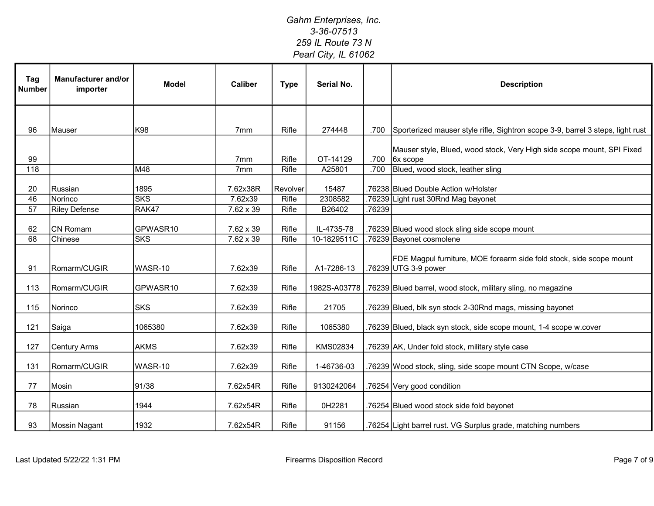| Tag<br><b>Number</b> | Manufacturer and/or<br>importer | <b>Model</b>       | <b>Caliber</b>      | <b>Type</b>       | Serial No.       |        | <b>Description</b>                                                                          |
|----------------------|---------------------------------|--------------------|---------------------|-------------------|------------------|--------|---------------------------------------------------------------------------------------------|
|                      |                                 |                    |                     |                   |                  |        |                                                                                             |
| 96                   | Mauser                          | K98                | 7 <sub>mm</sub>     | Rifle             | 274448           | .700   | Sporterized mauser style rifle, Sightron scope 3-9, barrel 3 steps, light rust              |
| 99                   |                                 |                    | 7 <sub>mm</sub>     | Rifle             | OT-14129         | .700   | Mauser style, Blued, wood stock, Very High side scope mount, SPI Fixed<br>$6x$ scope        |
| 118                  |                                 | M48                | 7mm                 | Rifle             | A25801           | .700   | Blued, wood stock, leather sling                                                            |
| 20<br>46             | Russian<br>Norinco              | 1895<br><b>SKS</b> | 7.62x38R<br>7.62x39 | Revolver<br>Rifle | 15487<br>2308582 |        | .76238 Blued Double Action w/Holster<br>.76239 Light rust 30Rnd Mag bayonet                 |
| 57                   | <b>Riley Defense</b>            | RAK47              | $7.62 \times 39$    | Rifle             | B26402           | .76239 |                                                                                             |
|                      |                                 |                    |                     |                   |                  |        |                                                                                             |
| 62                   | <b>CN Romam</b>                 | GPWASR10           | 7.62 x 39           | Rifle             | IL-4735-78       |        | .76239 Blued wood stock sling side scope mount                                              |
| 68                   | Chinese                         | <b>SKS</b>         | $7.62 \times 39$    | Rifle             | 10-1829511C      |        | .76239 Bayonet cosmolene                                                                    |
| 91                   | Romarm/CUGIR                    | WASR-10            | 7.62x39             | Rifle             | A1-7286-13       |        | FDE Magpul furniture, MOE forearm side fold stock, side scope mount<br>.76239 UTG 3-9 power |
| 113                  | Romarm/CUGIR                    | GPWASR10           | 7.62x39             | Rifle             | 1982S-A03778     |        | .76239 Blued barrel, wood stock, military sling, no magazine                                |
| 115                  | Norinco                         | <b>SKS</b>         | 7.62x39             | Rifle             | 21705            |        | .76239 Blued, blk syn stock 2-30Rnd mags, missing bayonet                                   |
| 121                  | Saiga                           | 1065380            | 7.62x39             | Rifle             | 1065380          |        | .76239 Blued, black syn stock, side scope mount, 1-4 scope w.cover                          |
| 127                  | <b>Century Arms</b>             | <b>AKMS</b>        | 7.62x39             | Rifle             | KMS02834         |        | .76239 AK, Under fold stock, military style case                                            |
| 131                  | Romarm/CUGIR                    | WASR-10            | 7.62x39             | Rifle             | 1-46736-03       |        | .76239 Wood stock, sling, side scope mount CTN Scope, w/case                                |
| 77                   | Mosin                           | 91/38              | 7.62x54R            | Rifle             | 9130242064       |        | .76254 Very good condition                                                                  |
| 78                   | Russian                         | 1944               | 7.62x54R            | Rifle             | 0H2281           |        | .76254 Blued wood stock side fold bayonet                                                   |
| 93                   | Mossin Nagant                   | 1932               | 7.62x54R            | Rifle             | 91156            |        | .76254 Light barrel rust. VG Surplus grade, matching numbers                                |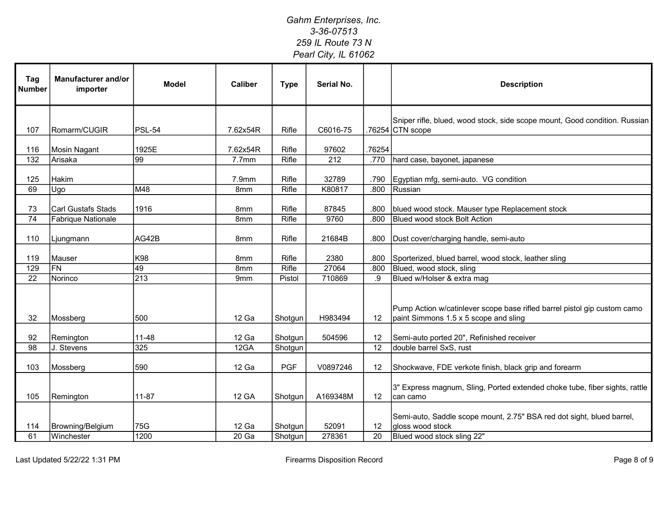| Tag<br><b>Number</b> | Manufacturer and/or<br>importer | <b>Model</b>     | <b>Caliber</b>  | <b>Type</b>  | Serial No.       |        | <b>Description</b>                                                                                                |
|----------------------|---------------------------------|------------------|-----------------|--------------|------------------|--------|-------------------------------------------------------------------------------------------------------------------|
|                      |                                 |                  |                 |              |                  |        | Sniper rifle, blued, wood stock, side scope mount, Good condition. Russian                                        |
| 107                  | Romarm/CUGIR                    | PSL-54           | 7.62x54R        | Rifle        | C6016-75         |        | .76254 CTN scope                                                                                                  |
| 116                  | <b>Mosin Nagant</b>             | 1925E            | 7.62x54R        | Rifle        | 97602            | .76254 |                                                                                                                   |
| 132                  | Arisaka                         | $\overline{99}$  | 7.7mm           | <b>Rifle</b> | $\overline{212}$ | .770   | hard case, bayonet, japanese                                                                                      |
|                      |                                 |                  |                 |              |                  |        |                                                                                                                   |
| 125                  | Hakim                           |                  | 7.9mm           | Rifle        | 32789            | .790   | Egyptian mfg, semi-auto. VG condition                                                                             |
| 69                   | Ugo                             | M48              | 8mm             | <b>Rifle</b> | K80817           | .800   | Russian                                                                                                           |
| 73                   | Carl Gustafs Stads              | 1916             | 8mm             | Rifle        | 87845            | .800   | blued wood stock. Mauser type Replacement stock                                                                   |
| 74                   | Fabrique Nationale              |                  | 8 <sub>mm</sub> | Rifle        | 9760             | .800   | <b>Blued wood stock Bolt Action</b>                                                                               |
|                      |                                 |                  |                 |              |                  |        |                                                                                                                   |
| 110                  | Ljungmann                       | AG42B            | 8mm             | Rifle        | 21684B           | .800   | Dust cover/charging handle, semi-auto                                                                             |
|                      |                                 |                  |                 |              |                  |        |                                                                                                                   |
| 119                  | Mauser                          | K98              | 8mm             | Rifle        | 2380             | .800   | Sporterized, blued barrel, wood stock, leather sling                                                              |
| 129                  | $\overline{FN}$                 | 49               | 8mm             | Rifle        | 27064            | .800   | Blued, wood stock, sling                                                                                          |
| $\overline{22}$      | Norinco                         | $\overline{213}$ | 9 <sub>mm</sub> | Pistol       | 710869           | .9     | Blued w/Holser & extra mag                                                                                        |
| 32                   | Mossberg                        | 500              | 12 Ga           | Shotgun      | H983494          | 12     | Pump Action w/catinlever scope base rifled barrel pistol gip custom camo<br>paint Simmons 1.5 x 5 scope and sling |
|                      |                                 |                  |                 |              |                  |        |                                                                                                                   |
| 92                   | Remington                       | 11-48            | 12 Ga           | Shotgun      | 504596           | 12     | Semi-auto ported 20", Refinished receiver                                                                         |
| $\overline{98}$      | J. Stevens                      | 325              | 12GA            | Shotgun      |                  | 12     | double barrel SxS, rust                                                                                           |
| 103                  | Mossberg                        | 590              | 12 Ga           | <b>PGF</b>   | V0897246         | 12     | Shockwave, FDE verkote finish, black grip and forearm                                                             |
| 105                  | Remington                       | $11 - 87$        | <b>12 GA</b>    | Shotgun      | A169348M         | 12     | 3" Express magnum, Sling, Ported extended choke tube, fiber sights, rattle<br>can camo                            |
| 114                  | Browning/Belgium                | 75G              | 12 Ga           | Shotgun      | 52091            | 12     | Semi-auto, Saddle scope mount, 2.75" BSA red dot sight, blued barrel,<br>gloss wood stock                         |
| 61                   | Winchester                      | 1200             | 20 Ga           | Shotgun      | 278361           | 20     | Blued wood stock sling 22"                                                                                        |